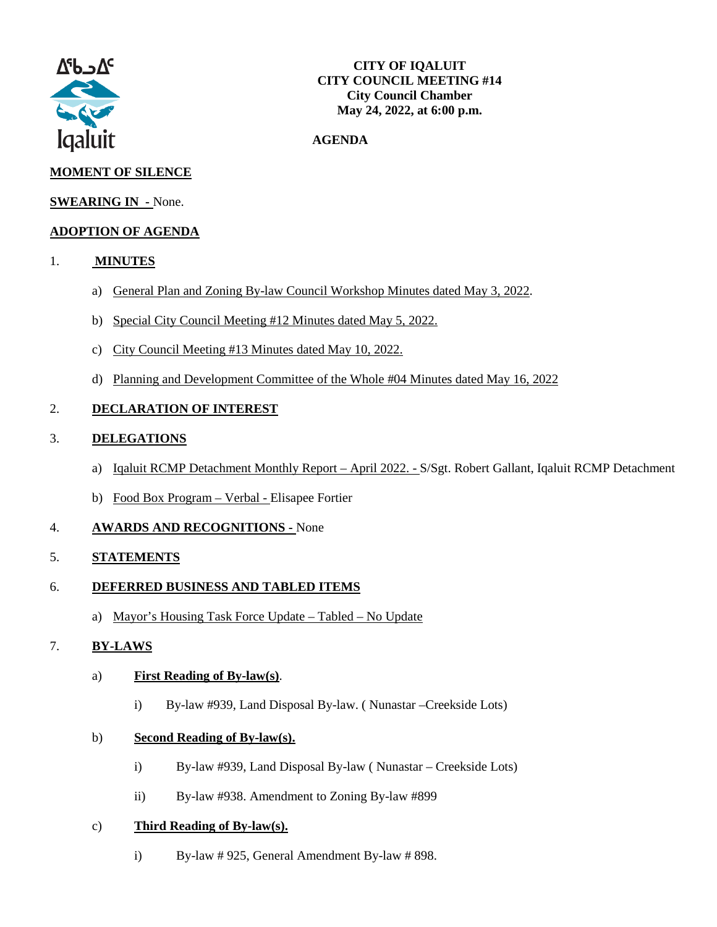

#### **AGENDA**

# **MOMENT OF SILENCE**

## **SWEARING IN -** None.

# **ADOPTION OF AGENDA**

- 1. **MINUTES**
	- a) General Plan and Zoning By-law Council Workshop Minutes dated May 3, 2022.
	- b) Special City Council Meeting #12 Minutes dated May 5, 2022.
	- c) City Council Meeting #13 Minutes dated May 10, 2022.
	- d) Planning and Development Committee of the Whole #04 Minutes dated May 16, 2022

# 2. **DECLARATION OF INTEREST**

### 3. **DELEGATIONS**

- a) Iqaluit RCMP Detachment Monthly Report April 2022. S/Sgt. Robert Gallant, Iqaluit RCMP Detachment
- b) Food Box Program Verbal Elisapee Fortier

## 4. **AWARDS AND RECOGNITIONS -** None

## 5. **STATEMENTS**

## 6. **DEFERRED BUSINESS AND TABLED ITEMS**

a) Mayor's Housing Task Force Update – Tabled – No Update

## 7. **BY-LAWS**

#### a) **First Reading of By-law(s)**.

i) By-law #939, Land Disposal By-law. ( Nunastar –Creekside Lots)

#### b) **Second Reading of By-law(s).**

- i) By-law #939, Land Disposal By-law ( Nunastar Creekside Lots)
- ii) By-law #938. Amendment to Zoning By-law #899

#### c) **Third Reading of By-law(s).**

i) By-law # 925, General Amendment By-law # 898.